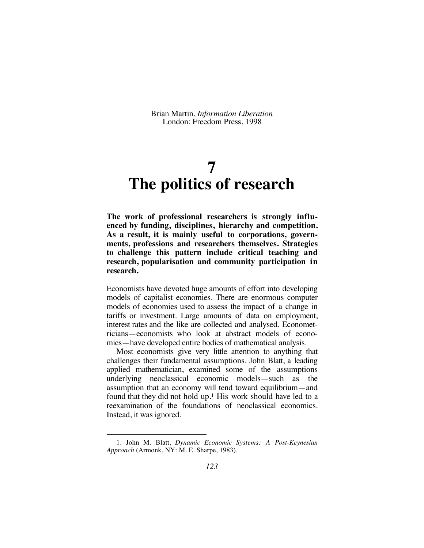Brian Martin, *Information Liberation* London: Freedom Press, 1998

# **7 The politics of research**

**The work of professional researchers is strongly influenced by funding, disciplines, hierarchy and competition. As a result, it is mainly useful to corporations, governments, professions and researchers themselves. Strategies to challenge this pattern include critical teaching and research, popularisation and community participation in research.**

Economists have devoted huge amounts of effort into developing models of capitalist economies. There are enormous computer models of economies used to assess the impact of a change in tariffs or investment. Large amounts of data on employment, interest rates and the like are collected and analysed. Econometricians—economists who look at abstract models of economies—have developed entire bodies of mathematical analysis.

Most economists give very little attention to anything that challenges their fundamental assumptions. John Blatt, a leading applied mathematician, examined some of the assumptions underlying neoclassical economic models—such as the assumption that an economy will tend toward equilibrium—and found that they did not hold up.1 His work should have led to a reexamination of the foundations of neoclassical economics. Instead, it was ignored.

 <sup>1.</sup> John M. Blatt, *Dynamic Economic Systems: A Post-Keynesian Approach* (Armonk, NY: M. E. Sharpe, 1983).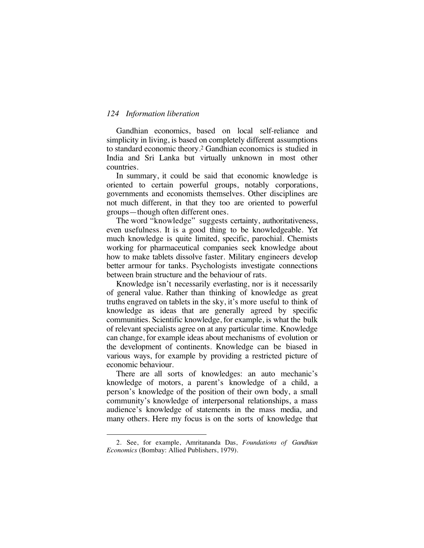Gandhian economics, based on local self-reliance and simplicity in living, is based on completely different assumptions to standard economic theory.2 Gandhian economics is studied in India and Sri Lanka but virtually unknown in most other countries.

In summary, it could be said that economic knowledge is oriented to certain powerful groups, notably corporations, governments and economists themselves. Other disciplines are not much different, in that they too are oriented to powerful groups—though often different ones.

The word "knowledge" suggests certainty, authoritativeness, even usefulness. It is a good thing to be knowledgeable. Yet much knowledge is quite limited, specific, parochial. Chemists working for pharmaceutical companies seek knowledge about how to make tablets dissolve faster. Military engineers develop better armour for tanks. Psychologists investigate connections between brain structure and the behaviour of rats.

Knowledge isn't necessarily everlasting, nor is it necessarily of general value. Rather than thinking of knowledge as great truths engraved on tablets in the sky, it's more useful to think of knowledge as ideas that are generally agreed by specific communities. Scientific knowledge, for example, is what the bulk of relevant specialists agree on at any particular time. Knowledge can change, for example ideas about mechanisms of evolution or the development of continents. Knowledge can be biased in various ways, for example by providing a restricted picture of economic behaviour.

There are all sorts of knowledges: an auto mechanic's knowledge of motors, a parent's knowledge of a child, a person's knowledge of the position of their own body, a small community's knowledge of interpersonal relationships, a mass audience's knowledge of statements in the mass media, and many others. Here my focus is on the sorts of knowledge that

 <sup>2.</sup> See, for example, Amritananda Das, *Foundations of Gandhian Economics* (Bombay: Allied Publishers, 1979).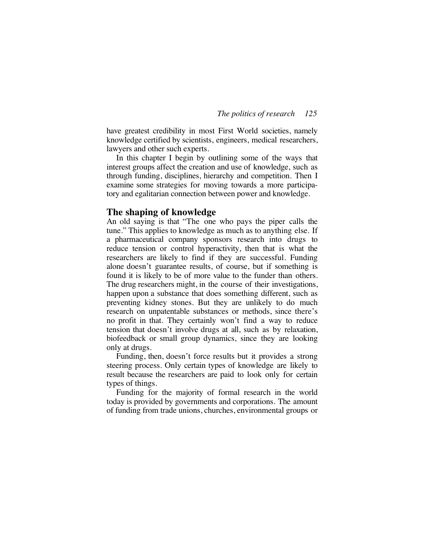have greatest credibility in most First World societies, namely knowledge certified by scientists, engineers, medical researchers, lawyers and other such experts.

In this chapter I begin by outlining some of the ways that interest groups affect the creation and use of knowledge, such as through funding, disciplines, hierarchy and competition. Then I examine some strategies for moving towards a more participatory and egalitarian connection between power and knowledge.

#### **The shaping of knowledge**

An old saying is that "The one who pays the piper calls the tune." This applies to knowledge as much as to anything else. If a pharmaceutical company sponsors research into drugs to reduce tension or control hyperactivity, then that is what the researchers are likely to find if they are successful. Funding alone doesn't guarantee results, of course, but if something is found it is likely to be of more value to the funder than others. The drug researchers might, in the course of their investigations, happen upon a substance that does something different, such as preventing kidney stones. But they are unlikely to do much research on unpatentable substances or methods, since there's no profit in that. They certainly won't find a way to reduce tension that doesn't involve drugs at all, such as by relaxation, biofeedback or small group dynamics, since they are looking only at drugs.

Funding, then, doesn't force results but it provides a strong steering process. Only certain types of knowledge are likely to result because the researchers are paid to look only for certain types of things.

Funding for the majority of formal research in the world today is provided by governments and corporations. The amount of funding from trade unions, churches, environmental groups or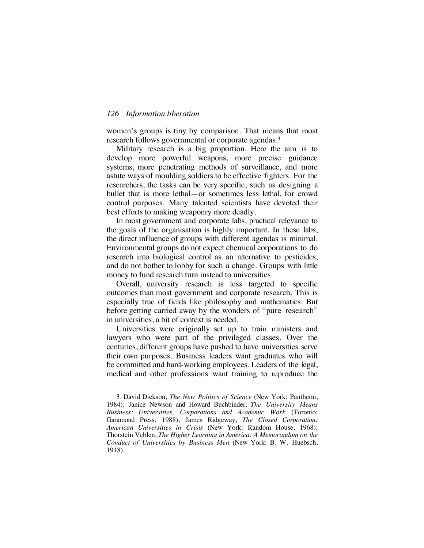women's groups is tiny by comparison. That means that most research follows governmental or corporate agendas.3

Military research is a big proportion. Here the aim is to develop more powerful weapons, more precise guidance systems, more penetrating methods of surveillance, and more astute ways of moulding soldiers to be effective fighters. For the researchers, the tasks can be very specific, such as designing a bullet that is more lethal—or sometimes less lethal, for crowd control purposes. Many talented scientists have devoted their best efforts to making weaponry more deadly.

In most government and corporate labs, practical relevance to the goals of the organisation is highly important. In these labs, the direct influence of groups with different agendas is minimal. Environmental groups do not expect chemical corporations to do research into biological control as an alternative to pesticides, and do not bother to lobby for such a change. Groups with little money to fund research turn instead to universities.

Overall, university research is less targeted to specific outcomes than most government and corporate research. This is especially true of fields like philosophy and mathematics. But before getting carried away by the wonders of "pure research" in universities, a bit of context is needed.

Universities were originally set up to train ministers and lawyers who were part of the privileged classes. Over the centuries, different groups have pushed to have universities serve their own purposes. Business leaders want graduates who will be committed and hard-working employees. Leaders of the legal, medical and other professions want training to reproduce the

 <sup>3.</sup> David Dickson, *The New Politics of Science* (New York: Pantheon, 1984); Janice Newson and Howard Buchbinder, *The University Means Business: Universities, Corporations and Academic Work* (Toronto: Garamond Press, 1988); James Ridgeway, *The Closed Corporation: American Universities in Crisis* (New York: Random House, 1968); Thorstein Veblen, *The Higher Learning in America: A Memorandum on the Conduct of Universities by Business Men* (New York: B. W. Huebsch, 1918).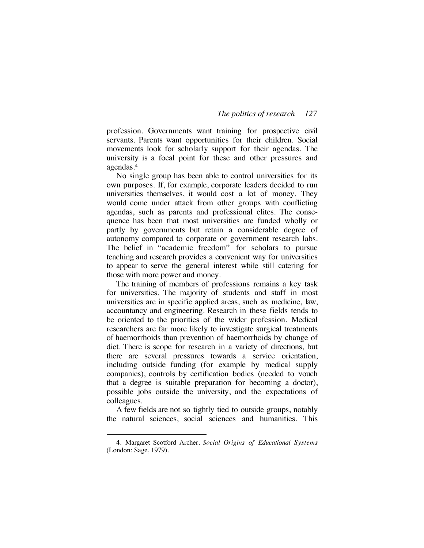profession. Governments want training for prospective civil servants. Parents want opportunities for their children. Social movements look for scholarly support for their agendas. The university is a focal point for these and other pressures and agendas.4

No single group has been able to control universities for its own purposes. If, for example, corporate leaders decided to run universities themselves, it would cost a lot of money. They would come under attack from other groups with conflicting agendas, such as parents and professional elites. The consequence has been that most universities are funded wholly or partly by governments but retain a considerable degree of autonomy compared to corporate or government research labs. The belief in "academic freedom" for scholars to pursue teaching and research provides a convenient way for universities to appear to serve the general interest while still catering for those with more power and money.

The training of members of professions remains a key task for universities. The majority of students and staff in most universities are in specific applied areas, such as medicine, law, accountancy and engineering. Research in these fields tends to be oriented to the priorities of the wider profession. Medical researchers are far more likely to investigate surgical treatments of haemorrhoids than prevention of haemorrhoids by change of diet. There is scope for research in a variety of directions, but there are several pressures towards a service orientation, including outside funding (for example by medical supply companies), controls by certification bodies (needed to vouch that a degree is suitable preparation for becoming a doctor), possible jobs outside the university, and the expectations of colleagues.

A few fields are not so tightly tied to outside groups, notably the natural sciences, social sciences and humanities. This

 <sup>4.</sup> Margaret Scotford Archer, *Social Origins of Educational Systems* (London: Sage, 1979).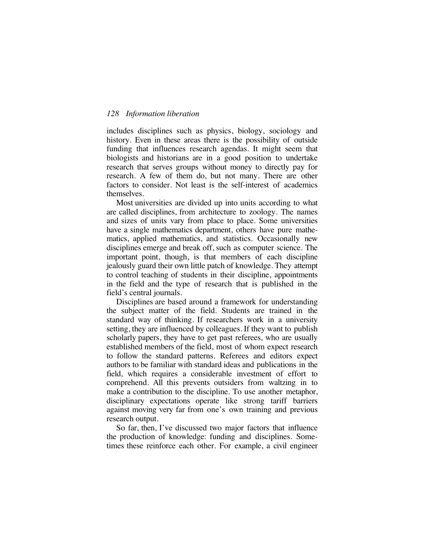includes disciplines such as physics, biology, sociology and history. Even in these areas there is the possibility of outside funding that influences research agendas. It might seem that biologists and historians are in a good position to undertake research that serves groups without money to directly pay for research. A few of them do, but not many. There are other factors to consider. Not least is the self-interest of academics themselves.

Most universities are divided up into units according to what are called disciplines, from architecture to zoology. The names and sizes of units vary from place to place. Some universities have a single mathematics department, others have pure mathematics, applied mathematics, and statistics. Occasionally new disciplines emerge and break off, such as computer science. The important point, though, is that members of each discipline jealously guard their own little patch of knowledge. They attempt to control teaching of students in their discipline, appointments in the field and the type of research that is published in the field's central journals.

Disciplines are based around a framework for understanding the subject matter of the field. Students are trained in the standard way of thinking. If researchers work in a university setting, they are influenced by colleagues. If they want to publish scholarly papers, they have to get past referees, who are usually established members of the field, most of whom expect research to follow the standard patterns. Referees and editors expect authors to be familiar with standard ideas and publications in the field, which requires a considerable investment of effort to comprehend. All this prevents outsiders from waltzing in to make a contribution to the discipline. To use another metaphor, disciplinary expectations operate like strong tariff barriers against moving very far from one's own training and previous research output.

So far, then, I've discussed two major factors that influence the production of knowledge: funding and disciplines. Sometimes these reinforce each other. For example, a civil engineer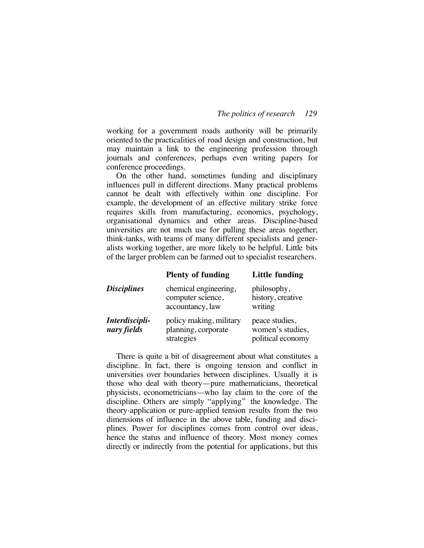working for a government roads authority will be primarily oriented to the practicalities of road design and construction, but may maintain a link to the engineering profession through journals and conferences, perhaps even writing papers for conference proceedings.

On the other hand, sometimes funding and disciplinary influences pull in different directions. Many practical problems cannot be dealt with effectively within one discipline. For example, the development of an effective military strike force requires skills from manufacturing, economics, psychology, organisational dynamics and other areas. Discipline-based universities are not much use for pulling these areas together; think-tanks, with teams of many different specialists and generalists working together, are more likely to be helpful. Little bits of the larger problem can be farmed out to specialist researchers.

|                               | <b>Plenty of funding</b>                                       | <b>Little funding</b>                                   |
|-------------------------------|----------------------------------------------------------------|---------------------------------------------------------|
| <i>Disciplines</i>            | chemical engineering,<br>computer science,<br>accountancy, law | philosophy,<br>history, creative<br>writing             |
| Interdiscipli-<br>nary fields | policy making, military<br>planning, corporate<br>strategies   | peace studies,<br>women's studies,<br>political economy |

There is quite a bit of disagreement about what constitutes a discipline. In fact, there is ongoing tension and conflict in universities over boundaries between disciplines. Usually it is those who deal with theory—pure mathematicians, theoretical physicists, econometricians—who lay claim to the core of the discipline. Others are simply "applying" the knowledge. The theory-application or pure-applied tension results from the two dimensions of influence in the above table, funding and disciplines. Power for disciplines comes from control over ideas, hence the status and influence of theory. Most money comes directly or indirectly from the potential for applications, but this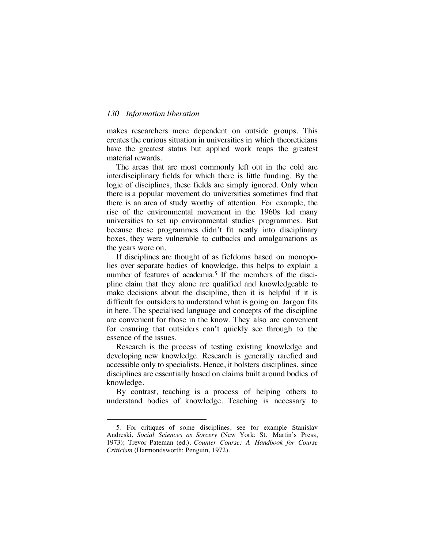makes researchers more dependent on outside groups. This creates the curious situation in universities in which theoreticians have the greatest status but applied work reaps the greatest material rewards.

The areas that are most commonly left out in the cold are interdisciplinary fields for which there is little funding. By the logic of disciplines, these fields are simply ignored. Only when there is a popular movement do universities sometimes find that there is an area of study worthy of attention. For example, the rise of the environmental movement in the 1960s led many universities to set up environmental studies programmes. But because these programmes didn't fit neatly into disciplinary boxes, they were vulnerable to cutbacks and amalgamations as the years wore on.

If disciplines are thought of as fiefdoms based on monopolies over separate bodies of knowledge, this helps to explain a number of features of academia.<sup>5</sup> If the members of the discipline claim that they alone are qualified and knowledgeable to make decisions about the discipline, then it is helpful if it is difficult for outsiders to understand what is going on. Jargon fits in here. The specialised language and concepts of the discipline are convenient for those in the know. They also are convenient for ensuring that outsiders can't quickly see through to the essence of the issues.

Research is the process of testing existing knowledge and developing new knowledge. Research is generally rarefied and accessible only to specialists. Hence, it bolsters disciplines, since disciplines are essentially based on claims built around bodies of knowledge.

By contrast, teaching is a process of helping others to understand bodies of knowledge. Teaching is necessary to

 <sup>5.</sup> For critiques of some disciplines, see for example Stanislav Andreski, *Social Sciences as Sorcery* (New York: St. Martin's Press, 1973); Trevor Pateman (ed.), *Counter Course: A Handbook for Course Criticism* (Harmondsworth: Penguin, 1972).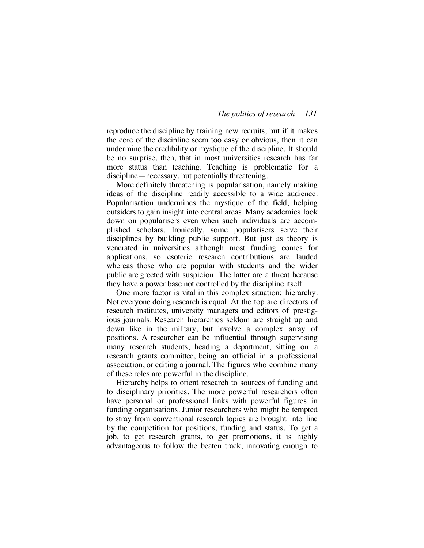reproduce the discipline by training new recruits, but if it makes the core of the discipline seem too easy or obvious, then it can undermine the credibility or mystique of the discipline. It should be no surprise, then, that in most universities research has far more status than teaching. Teaching is problematic for a discipline—necessary, but potentially threatening.

More definitely threatening is popularisation, namely making ideas of the discipline readily accessible to a wide audience. Popularisation undermines the mystique of the field, helping outsiders to gain insight into central areas. Many academics look down on popularisers even when such individuals are accomplished scholars. Ironically, some popularisers serve their disciplines by building public support. But just as theory is venerated in universities although most funding comes for applications, so esoteric research contributions are lauded whereas those who are popular with students and the wider public are greeted with suspicion. The latter are a threat because they have a power base not controlled by the discipline itself.

One more factor is vital in this complex situation: hierarchy. Not everyone doing research is equal. At the top are directors of research institutes, university managers and editors of prestigious journals. Research hierarchies seldom are straight up and down like in the military, but involve a complex array of positions. A researcher can be influential through supervising many research students, heading a department, sitting on a research grants committee, being an official in a professional association, or editing a journal. The figures who combine many of these roles are powerful in the discipline.

Hierarchy helps to orient research to sources of funding and to disciplinary priorities. The more powerful researchers often have personal or professional links with powerful figures in funding organisations. Junior researchers who might be tempted to stray from conventional research topics are brought into line by the competition for positions, funding and status. To get a job, to get research grants, to get promotions, it is highly advantageous to follow the beaten track, innovating enough to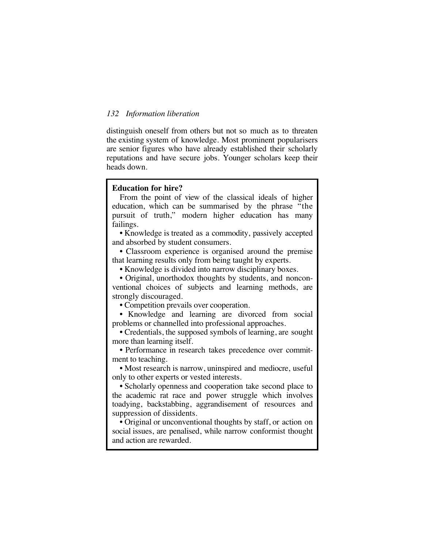distinguish oneself from others but not so much as to threaten the existing system of knowledge. Most prominent popularisers are senior figures who have already established their scholarly reputations and have secure jobs. Younger scholars keep their heads down.

#### **Education for hire?**

From the point of view of the classical ideals of higher education, which can be summarised by the phrase "the pursuit of truth," modern higher education has many failings.

• Knowledge is treated as a commodity, passively accepted and absorbed by student consumers.

• Classroom experience is organised around the premise that learning results only from being taught by experts.

• Knowledge is divided into narrow disciplinary boxes.

• Original, unorthodox thoughts by students, and nonconventional choices of subjects and learning methods, are strongly discouraged.

• Competition prevails over cooperation.

• Knowledge and learning are divorced from social problems or channelled into professional approaches.

• Credentials, the supposed symbols of learning, are sought more than learning itself.

• Performance in research takes precedence over commitment to teaching.

• Most research is narrow, uninspired and mediocre, useful only to other experts or vested interests.

• Scholarly openness and cooperation take second place to the academic rat race and power struggle which involves toadying, backstabbing, aggrandisement of resources and suppression of dissidents.

• Original or unconventional thoughts by staff, or action on social issues, are penalised, while narrow conformist thought and action are rewarded.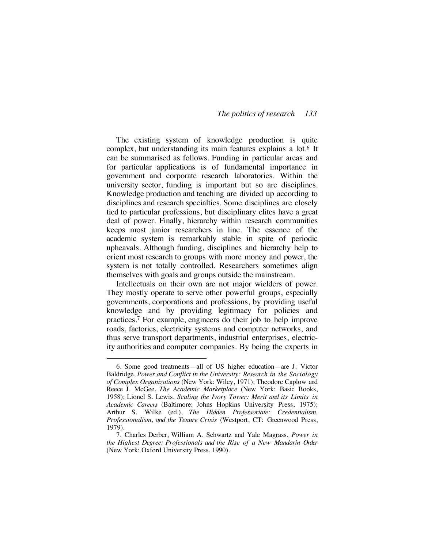The existing system of knowledge production is quite complex, but understanding its main features explains a lot.6 It can be summarised as follows. Funding in particular areas and for particular applications is of fundamental importance in government and corporate research laboratories. Within the university sector, funding is important but so are disciplines. Knowledge production and teaching are divided up according to disciplines and research specialties. Some disciplines are closely tied to particular professions, but disciplinary elites have a great deal of power. Finally, hierarchy within research communities keeps most junior researchers in line. The essence of the academic system is remarkably stable in spite of periodic upheavals. Although funding, disciplines and hierarchy help to orient most research to groups with more money and power, the system is not totally controlled. Researchers sometimes align themselves with goals and groups outside the mainstream.

Intellectuals on their own are not major wielders of power. They mostly operate to serve other powerful groups, especially governments, corporations and professions, by providing useful knowledge and by providing legitimacy for policies and practices.7 For example, engineers do their job to help improve roads, factories, electricity systems and computer networks, and thus serve transport departments, industrial enterprises, electricity authorities and computer companies. By being the experts in

 <sup>6.</sup> Some good treatments—all of US higher education—are J. Victor Baldridge, *Power and Conflict in the University: Research in the Sociology of Complex Organizations* (New York: Wiley, 1971); Theodore Caplow and Reece J. McGee, *The Academic Marketplace* (New York: Basic Books, 1958); Lionel S. Lewis, *Scaling the Ivory Tower: Merit and its Limits in Academic Careers* (Baltimore: Johns Hopkins University Press, 1975); Arthur S. Wilke (ed.), *The Hidden Professoriate: Credentialism, Professionalism, and the Tenure Crisis* (Westport, CT: Greenwood Press, 1979).

<sup>7.</sup> Charles Derber, William A. Schwartz and Yale Magrass, *Power in the Highest Degree: Professionals and the Rise of a New Mandarin Order* (New York: Oxford University Press, 1990).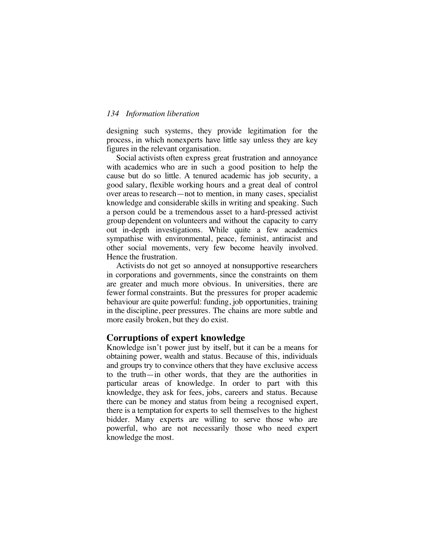designing such systems, they provide legitimation for the process, in which nonexperts have little say unless they are key figures in the relevant organisation.

Social activists often express great frustration and annoyance with academics who are in such a good position to help the cause but do so little. A tenured academic has job security, a good salary, flexible working hours and a great deal of control over areas to research—not to mention, in many cases, specialist knowledge and considerable skills in writing and speaking. Such a person could be a tremendous asset to a hard-pressed activist group dependent on volunteers and without the capacity to carry out in-depth investigations. While quite a few academics sympathise with environmental, peace, feminist, antiracist and other social movements, very few become heavily involved. Hence the frustration.

Activists do not get so annoyed at nonsupportive researchers in corporations and governments, since the constraints on them are greater and much more obvious. In universities, there are fewer formal constraints. But the pressures for proper academic behaviour are quite powerful: funding, job opportunities, training in the discipline, peer pressures. The chains are more subtle and more easily broken, but they do exist.

# **Corruptions of expert knowledge**

Knowledge isn't power just by itself, but it can be a means for obtaining power, wealth and status. Because of this, individuals and groups try to convince others that they have exclusive access to the truth—in other words, that they are the authorities in particular areas of knowledge. In order to part with this knowledge, they ask for fees, jobs, careers and status. Because there can be money and status from being a recognised expert, there is a temptation for experts to sell themselves to the highest bidder. Many experts are willing to serve those who are powerful, who are not necessarily those who need expert knowledge the most.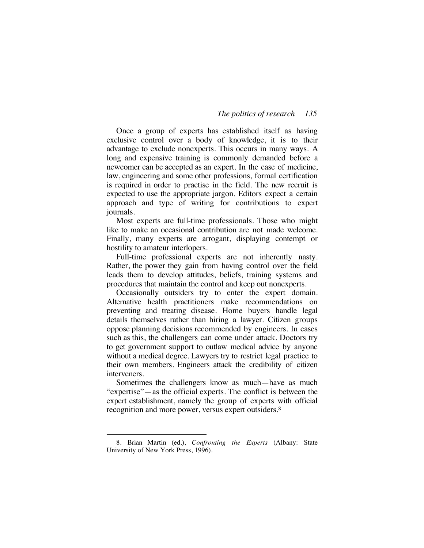Once a group of experts has established itself as having exclusive control over a body of knowledge, it is to their advantage to exclude nonexperts. This occurs in many ways. A long and expensive training is commonly demanded before a newcomer can be accepted as an expert. In the case of medicine, law, engineering and some other professions, formal certification is required in order to practise in the field. The new recruit is expected to use the appropriate jargon. Editors expect a certain approach and type of writing for contributions to expert journals.

Most experts are full-time professionals. Those who might like to make an occasional contribution are not made welcome. Finally, many experts are arrogant, displaying contempt or hostility to amateur interlopers.

Full-time professional experts are not inherently nasty. Rather, the power they gain from having control over the field leads them to develop attitudes, beliefs, training systems and procedures that maintain the control and keep out nonexperts.

Occasionally outsiders try to enter the expert domain. Alternative health practitioners make recommendations on preventing and treating disease. Home buyers handle legal details themselves rather than hiring a lawyer. Citizen groups oppose planning decisions recommended by engineers. In cases such as this, the challengers can come under attack. Doctors try to get government support to outlaw medical advice by anyone without a medical degree. Lawyers try to restrict legal practice to their own members. Engineers attack the credibility of citizen interveners.

Sometimes the challengers know as much—have as much "expertise"—as the official experts. The conflict is between the expert establishment, namely the group of experts with official recognition and more power, versus expert outsiders.8

 <sup>8.</sup> Brian Martin (ed.), *Confronting the Experts* (Albany: State University of New York Press, 1996).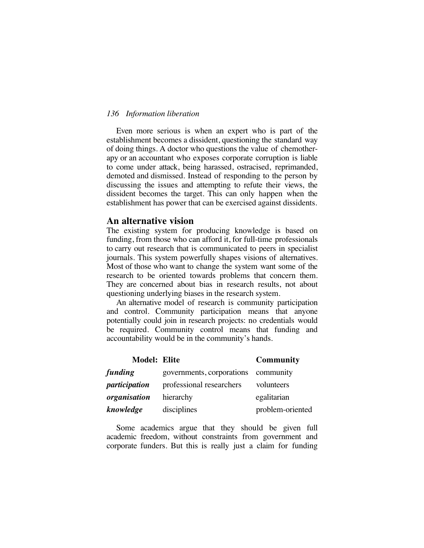Even more serious is when an expert who is part of the establishment becomes a dissident, questioning the standard way of doing things. A doctor who questions the value of chemotherapy or an accountant who exposes corporate corruption is liable to come under attack, being harassed, ostracised, reprimanded, demoted and dismissed. Instead of responding to the person by discussing the issues and attempting to refute their views, the dissident becomes the target. This can only happen when the establishment has power that can be exercised against dissidents.

#### **An alternative vision**

The existing system for producing knowledge is based on funding, from those who can afford it, for full-time professionals to carry out research that is communicated to peers in specialist journals. This system powerfully shapes visions of alternatives. Most of those who want to change the system want some of the research to be oriented towards problems that concern them. They are concerned about bias in research results, not about questioning underlying biases in the research system.

An alternative model of research is community participation and control. Community participation means that anyone potentially could join in research projects: no credentials would be required. Community control means that funding and accountability would be in the community's hands.

| <b>Model: Elite</b> |                           | <b>Community</b> |
|---------------------|---------------------------|------------------|
| funding             | governments, corporations | community        |
| participation       | professional researchers  | volunteers       |
| organisation        | hierarchy                 | egalitarian      |
| knowledge           | disciplines               | problem-oriented |

Some academics argue that they should be given full academic freedom, without constraints from government and corporate funders. But this is really just a claim for funding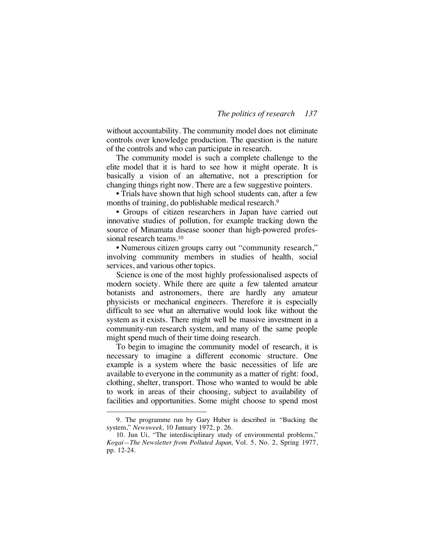without accountability. The community model does not eliminate controls over knowledge production. The question is the nature of the controls and who can participate in research.

The community model is such a complete challenge to the elite model that it is hard to see how it might operate. It is basically a vision of an alternative, not a prescription for changing things right now. There are a few suggestive pointers.

• Trials have shown that high school students can, after a few months of training, do publishable medical research.<sup>9</sup>

• Groups of citizen researchers in Japan have carried out innovative studies of pollution, for example tracking down the source of Minamata disease sooner than high-powered professional research teams.10

• Numerous citizen groups carry out "community research," involving community members in studies of health, social services, and various other topics.

Science is one of the most highly professionalised aspects of modern society. While there are quite a few talented amateur botanists and astronomers, there are hardly any amateur physicists or mechanical engineers. Therefore it is especially difficult to see what an alternative would look like without the system as it exists. There might well be massive investment in a community-run research system, and many of the same people might spend much of their time doing research.

To begin to imagine the community model of research, it is necessary to imagine a different economic structure. One example is a system where the basic necessities of life are available to everyone in the community as a matter of right: food, clothing, shelter, transport. Those who wanted to would be able to work in areas of their choosing, subject to availability of facilities and opportunities. Some might choose to spend most

 <sup>9.</sup> The programme run by Gary Huber is described in "Bucking the system," *Newsweek,* 10 January 1972, p. 26.

<sup>10.</sup> Jun Ui, "The interdisciplinary study of environmental problems," *Kogai—The Newsletter from Polluted Japan,* Vol. 5, No. 2, Spring 1977, pp. 12-24.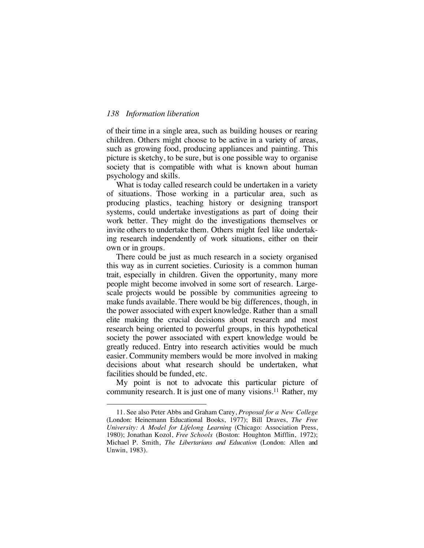of their time in a single area, such as building houses or rearing children. Others might choose to be active in a variety of areas, such as growing food, producing appliances and painting. This picture is sketchy, to be sure, but is one possible way to organise society that is compatible with what is known about human psychology and skills.

What is today called research could be undertaken in a variety of situations. Those working in a particular area, such as producing plastics, teaching history or designing transport systems, could undertake investigations as part of doing their work better. They might do the investigations themselves or invite others to undertake them. Others might feel like undertaking research independently of work situations, either on their own or in groups.

There could be just as much research in a society organised this way as in current societies. Curiosity is a common human trait, especially in children. Given the opportunity, many more people might become involved in some sort of research. Largescale projects would be possible by communities agreeing to make funds available. There would be big differences, though, in the power associated with expert knowledge. Rather than a small elite making the crucial decisions about research and most research being oriented to powerful groups, in this hypothetical society the power associated with expert knowledge would be greatly reduced. Entry into research activities would be much easier. Community members would be more involved in making decisions about what research should be undertaken, what facilities should be funded, etc.

My point is not to advocate this particular picture of community research. It is just one of many visions.11 Rather, my

 <sup>11.</sup> See also Peter Abbs and Graham Carey, *Proposal for a New College* (London: Heinemann Educational Books, 1977); Bill Draves, *The Free University: A Model for Lifelong Learning* (Chicago: Association Press, 1980); Jonathan Kozol, *Free Schools* (Boston: Houghton Mifflin, 1972); Michael P. Smith, *The Libertarians and Education* (London: Allen and Unwin, 1983).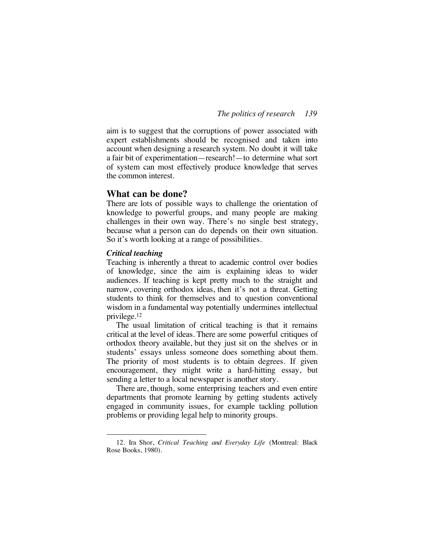aim is to suggest that the corruptions of power associated with expert establishments should be recognised and taken into account when designing a research system. No doubt it will take a fair bit of experimentation—research!—to determine what sort of system can most effectively produce knowledge that serves the common interest.

## **What can be done?**

There are lots of possible ways to challenge the orientation of knowledge to powerful groups, and many people are making challenges in their own way. There's no single best strategy, because what a person can do depends on their own situation. So it's worth looking at a range of possibilities.

#### *Critical teaching*

Teaching is inherently a threat to academic control over bodies of knowledge, since the aim is explaining ideas to wider audiences. If teaching is kept pretty much to the straight and narrow, covering orthodox ideas, then it's not a threat. Getting students to think for themselves and to question conventional wisdom in a fundamental way potentially undermines intellectual privilege.12

The usual limitation of critical teaching is that it remains critical at the level of ideas. There are some powerful critiques of orthodox theory available, but they just sit on the shelves or in students' essays unless someone does something about them. The priority of most students is to obtain degrees. If given encouragement, they might write a hard-hitting essay, but sending a letter to a local newspaper is another story.

There are, though, some enterprising teachers and even entire departments that promote learning by getting students actively engaged in community issues, for example tackling pollution problems or providing legal help to minority groups.

 <sup>12.</sup> Ira Shor, *Critical Teaching and Everyday Life* (Montreal: Black Rose Books, 1980).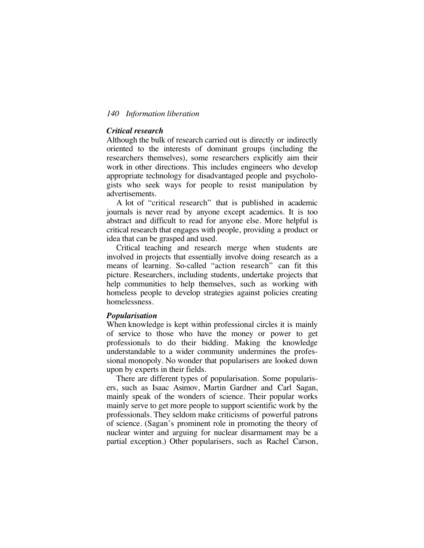#### *Critical research*

Although the bulk of research carried out is directly or indirectly oriented to the interests of dominant groups (including the researchers themselves), some researchers explicitly aim their work in other directions. This includes engineers who develop appropriate technology for disadvantaged people and psychologists who seek ways for people to resist manipulation by advertisements.

A lot of "critical research" that is published in academic journals is never read by anyone except academics. It is too abstract and difficult to read for anyone else. More helpful is critical research that engages with people, providing a product or idea that can be grasped and used.

Critical teaching and research merge when students are involved in projects that essentially involve doing research as a means of learning. So-called "action research" can fit this picture. Researchers, including students, undertake projects that help communities to help themselves, such as working with homeless people to develop strategies against policies creating homelessness.

#### *Popularisation*

When knowledge is kept within professional circles it is mainly of service to those who have the money or power to get professionals to do their bidding. Making the knowledge understandable to a wider community undermines the professional monopoly. No wonder that popularisers are looked down upon by experts in their fields.

There are different types of popularisation. Some popularisers, such as Isaac Asimov, Martin Gardner and Carl Sagan, mainly speak of the wonders of science. Their popular works mainly serve to get more people to support scientific work by the professionals. They seldom make criticisms of powerful patrons of science. (Sagan's prominent role in promoting the theory of nuclear winter and arguing for nuclear disarmament may be a partial exception.) Other popularisers, such as Rachel Carson,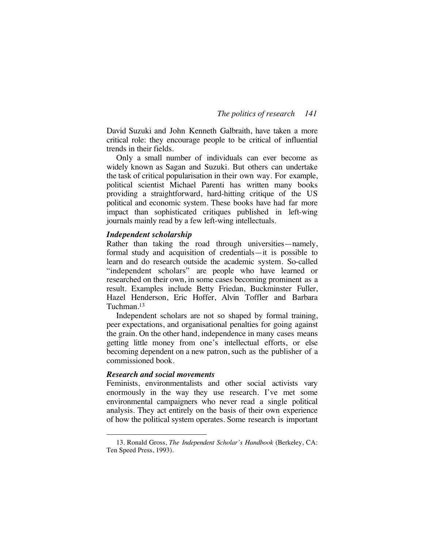David Suzuki and John Kenneth Galbraith, have taken a more critical role: they encourage people to be critical of influential trends in their fields.

Only a small number of individuals can ever become as widely known as Sagan and Suzuki. But others can undertake the task of critical popularisation in their own way. For example, political scientist Michael Parenti has written many books providing a straightforward, hard-hitting critique of the US political and economic system. These books have had far more impact than sophisticated critiques published in left-wing journals mainly read by a few left-wing intellectuals.

#### *Independent scholarship*

Rather than taking the road through universities—namely, formal study and acquisition of credentials—it is possible to learn and do research outside the academic system. So-called "independent scholars" are people who have learned or researched on their own, in some cases becoming prominent as a result. Examples include Betty Friedan, Buckminster Fuller, Hazel Henderson, Eric Hoffer, Alvin Toffler and Barbara Tuchman.13

Independent scholars are not so shaped by formal training, peer expectations, and organisational penalties for going against the grain. On the other hand, independence in many cases means getting little money from one's intellectual efforts, or else becoming dependent on a new patron, such as the publisher of a commissioned book.

#### *Research and social movements*

Feminists, environmentalists and other social activists vary enormously in the way they use research. I've met some environmental campaigners who never read a single political analysis. They act entirely on the basis of their own experience of how the political system operates. Some research is important

 <sup>13.</sup> Ronald Gross, *The Independent Scholar's Handbook* (Berkeley, CA: Ten Speed Press, 1993).